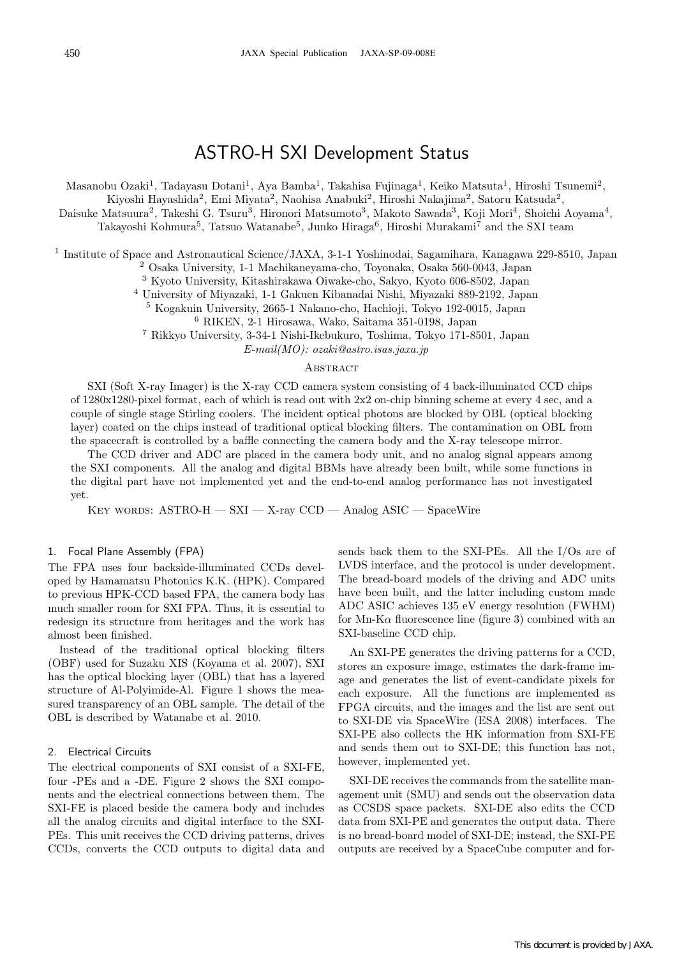# ASTRO-H SXI Development Status

Masanobu Ozaki<sup>1</sup>, Tadayasu Dotani<sup>1</sup>, Aya Bamba<sup>1</sup>, Takahisa Fujinaga<sup>1</sup>, Keiko Matsuta<sup>1</sup>, Hiroshi Tsunemi<sup>2</sup>,

Kiyoshi Hayashida<sup>2</sup>, Emi Miyata<sup>2</sup>, Naohisa Anabuki<sup>2</sup>, Hiroshi Nakajima<sup>2</sup>, Satoru Katsuda<sup>2</sup>,

Daisuke Matsuura<sup>2</sup>, Takeshi G. Tsuru<sup>3</sup>, Hironori Matsumoto<sup>3</sup>, Makoto Sawada<sup>3</sup>, Koji Mori<sup>4</sup>, Shoichi Aoyama<sup>4</sup>,

Takayoshi Kohmura<sup>5</sup>, Tatsuo Watanabe<sup>5</sup>, Junko Hiraga<sup>6</sup>, Hiroshi Murakami<sup>7</sup> and the SXI team

<sup>1</sup> Institute of Space and Astronautical Science/JAXA, 3-1-1 Yoshinodai, Sagamihara, Kanagawa 229-8510, Japan

<sup>2</sup> Osaka University, 1-1 Machikaneyama-cho, Toyonaka, Osaka 560-0043, Japan

<sup>3</sup> Kyoto University, Kitashirakawa Oiwake-cho, Sakyo, Kyoto 606-8502, Japan

<sup>4</sup> University of Miyazaki, 1-1 Gakuen Kibanadai Nishi, Miyazaki 889-2192, Japan

<sup>5</sup> Kogakuin University, 2665-1 Nakano-cho, Hachioji, Tokyo 192-0015, Japan

<sup>6</sup> RIKEN, 2-1 Hirosawa, Wako, Saitama 351-0198, Japan

<sup>7</sup> Rikkyo University, 3-34-1 Nishi-Ikebukuro, Toshima, Tokyo 171-8501, Japan

*E-mail(MO): ozaki@astro.isas.jaxa.jp*

## **ABSTRACT**

SXI (Soft X-ray Imager) is the X-ray CCD camera system consisting of 4 back-illuminated CCD chips of 1280x1280-pixel format, each of which is read out with 2x2 on-chip binning scheme at every 4 sec, and a couple of single stage Stirling coolers. The incident optical photons are blocked by OBL (optical blocking layer) coated on the chips instead of traditional optical blocking filters. The contamination on OBL from the spacecraft is controlled by a baffle connecting the camera body and the X-ray telescope mirror.

The CCD driver and ADC are placed in the camera body unit, and no analog signal appears among the SXI components. All the analog and digital BBMs have already been built, while some functions in the digital part have not implemented yet and the end-to-end analog performance has not investigated yet.

Key words: ASTRO-H — SXI — X-ray CCD — Analog ASIC — SpaceWire

#### 1. Focal Plane Assembly (FPA)

The FPA uses four backside-illuminated CCDs developed by Hamamatsu Photonics K.K. (HPK). Compared to previous HPK-CCD based FPA, the camera body has much smaller room for SXI FPA. Thus, it is essential to redesign its structure from heritages and the work has almost been finished.

Instead of the traditional optical blocking filters (OBF) used for Suzaku XIS (Koyama et al. 2007), SXI has the optical blocking layer (OBL) that has a layered structure of Al-Polyimide-Al. Figure 1 shows the measured transparency of an OBL sample. The detail of the OBL is described by Watanabe et al. 2010.

### 2. Electrical Circuits

The electrical components of SXI consist of a SXI-FE, four -PEs and a -DE. Figure 2 shows the SXI components and the electrical connections between them. The SXI-FE is placed beside the camera body and includes all the analog circuits and digital interface to the SXI-PEs. This unit receives the CCD driving patterns, drives CCDs, converts the CCD outputs to digital data and

sends back them to the SXI-PEs. All the I/Os are of LVDS interface, and the protocol is under development. The bread-board models of the driving and ADC units have been built, and the latter including custom made ADC ASIC achieves 135 eV energy resolution (FWHM) for Mn-K $\alpha$  fluorescence line (figure 3) combined with an SXI-baseline CCD chip.

An SXI-PE generates the driving patterns for a CCD, stores an exposure image, estimates the dark-frame image and generates the list of event-candidate pixels for each exposure. All the functions are implemented as FPGA circuits, and the images and the list are sent out to SXI-DE via SpaceWire (ESA 2008) interfaces. The SXI-PE also collects the HK information from SXI-FE and sends them out to SXI-DE; this function has not, however, implemented yet.

SXI-DE receives the commands from the satellite management unit (SMU) and sends out the observation data as CCSDS space packets. SXI-DE also edits the CCD data from SXI-PE and generates the output data. There is no bread-board model of SXI-DE; instead, the SXI-PE outputs are received by a SpaceCube computer and for-